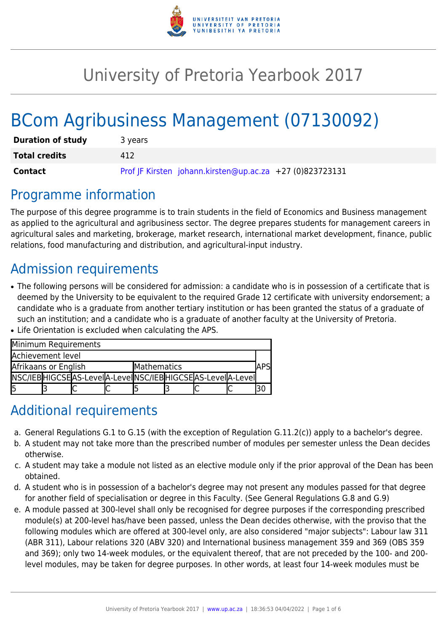

# University of Pretoria Yearbook 2017

# BCom Agribusiness Management (07130092)

| <b>Duration of study</b> | 3 years                                                  |
|--------------------------|----------------------------------------------------------|
| <b>Total credits</b>     | 412                                                      |
| <b>Contact</b>           | Prof JF Kirsten johann.kirsten@up.ac.za +27 (0)823723131 |

### Programme information

The purpose of this degree programme is to train students in the field of Economics and Business management as applied to the agricultural and agribusiness sector. The degree prepares students for management careers in agricultural sales and marketing, brokerage, market research, international market development, finance, public relations, food manufacturing and distribution, and agricultural-input industry.

## Admission requirements

- The following persons will be considered for admission: a candidate who is in possession of a certificate that is deemed by the University to be equivalent to the required Grade 12 certificate with university endorsement; a candidate who is a graduate from another tertiary institution or has been granted the status of a graduate of such an institution; and a candidate who is a graduate of another faculty at the University of Pretoria.
- Life Orientation is excluded when calculating the APS.

| Minimum Requirements |  |                                                                 |  |             |  |  |  |  |  |  |
|----------------------|--|-----------------------------------------------------------------|--|-------------|--|--|--|--|--|--|
| Achievement level    |  |                                                                 |  |             |  |  |  |  |  |  |
| Afrikaans or English |  |                                                                 |  | Mathematics |  |  |  |  |  |  |
|                      |  | NSC/IEB HIGCSE AS-LeveI A-LeveI NSC/IEB HIGCSE AS-LeveI A-LeveI |  |             |  |  |  |  |  |  |
| I5                   |  |                                                                 |  |             |  |  |  |  |  |  |

### Additional requirements

- a. General Regulations G.1 to G.15 (with the exception of Regulation G.11.2(c)) apply to a bachelor's degree.
- b. A student may not take more than the prescribed number of modules per semester unless the Dean decides otherwise.
- c. A student may take a module not listed as an elective module only if the prior approval of the Dean has been obtained.
- d. A student who is in possession of a bachelor's degree may not present any modules passed for that degree for another field of specialisation or degree in this Faculty. (See General Regulations G.8 and G.9)
- e. A module passed at 300-level shall only be recognised for degree purposes if the corresponding prescribed module(s) at 200-level has/have been passed, unless the Dean decides otherwise, with the proviso that the following modules which are offered at 300-level only, are also considered "major subjects": Labour law 311 (ABR 311), Labour relations 320 (ABV 320) and International business management 359 and 369 (OBS 359 and 369); only two 14-week modules, or the equivalent thereof, that are not preceded by the 100- and 200 level modules, may be taken for degree purposes. In other words, at least four 14-week modules must be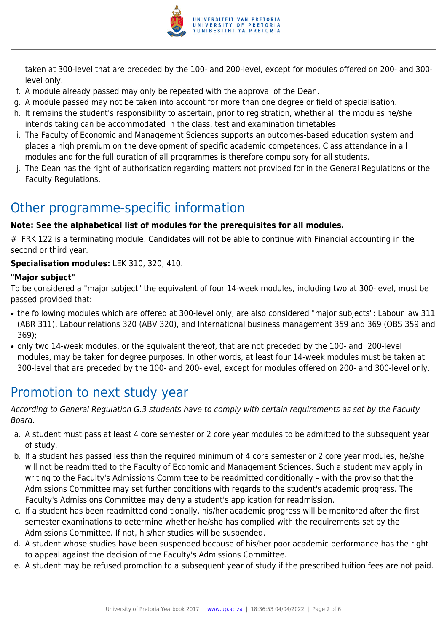

taken at 300-level that are preceded by the 100- and 200-level, except for modules offered on 200- and 300 level only.

- f. A module already passed may only be repeated with the approval of the Dean.
- g. A module passed may not be taken into account for more than one degree or field of specialisation.
- h. It remains the student's responsibility to ascertain, prior to registration, whether all the modules he/she intends taking can be accommodated in the class, test and examination timetables.
- i. The Faculty of Economic and Management Sciences supports an outcomes-based education system and places a high premium on the development of specific academic competences. Class attendance in all modules and for the full duration of all programmes is therefore compulsory for all students.
- j. The Dean has the right of authorisation regarding matters not provided for in the General Regulations or the Faculty Regulations.

## Other programme-specific information

#### **Note: See the alphabetical list of modules for the prerequisites for all modules.**

# FRK 122 is a terminating module. Candidates will not be able to continue with Financial accounting in the second or third year.

#### **Specialisation modules:** LEK 310, 320, 410.

#### **"Major subject"**

To be considered a "major subject" the equivalent of four 14-week modules, including two at 300-level, must be passed provided that:

- the following modules which are offered at 300-level only, are also considered "major subjects": Labour law 311 (ABR 311), Labour relations 320 (ABV 320), and International business management 359 and 369 (OBS 359 and 369);
- only two 14-week modules, or the equivalent thereof, that are not preceded by the 100- and 200-level modules, may be taken for degree purposes. In other words, at least four 14-week modules must be taken at 300-level that are preceded by the 100- and 200-level, except for modules offered on 200- and 300-level only.

# Promotion to next study year

According to General Regulation G.3 students have to comply with certain requirements as set by the Faculty Board.

- a. A student must pass at least 4 core semester or 2 core year modules to be admitted to the subsequent year of study.
- b. If a student has passed less than the required minimum of 4 core semester or 2 core year modules, he/she will not be readmitted to the Faculty of Economic and Management Sciences. Such a student may apply in writing to the Faculty's Admissions Committee to be readmitted conditionally – with the proviso that the Admissions Committee may set further conditions with regards to the student's academic progress. The Faculty's Admissions Committee may deny a student's application for readmission.
- c. If a student has been readmitted conditionally, his/her academic progress will be monitored after the first semester examinations to determine whether he/she has complied with the requirements set by the Admissions Committee. If not, his/her studies will be suspended.
- d. A student whose studies have been suspended because of his/her poor academic performance has the right to appeal against the decision of the Faculty's Admissions Committee.
- e. A student may be refused promotion to a subsequent year of study if the prescribed tuition fees are not paid.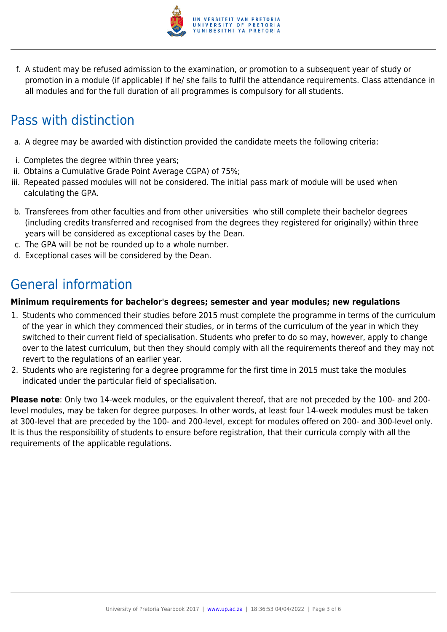

f. A student may be refused admission to the examination, or promotion to a subsequent year of study or promotion in a module (if applicable) if he/ she fails to fulfil the attendance requirements. Class attendance in all modules and for the full duration of all programmes is compulsory for all students.

# Pass with distinction

- a. A degree may be awarded with distinction provided the candidate meets the following criteria:
- i. Completes the degree within three years;
- ii. Obtains a Cumulative Grade Point Average CGPA) of 75%;
- iii. Repeated passed modules will not be considered. The initial pass mark of module will be used when calculating the GPA.
- b. Transferees from other faculties and from other universities who still complete their bachelor degrees (including credits transferred and recognised from the degrees they registered for originally) within three years will be considered as exceptional cases by the Dean.
- c. The GPA will be not be rounded up to a whole number.
- d. Exceptional cases will be considered by the Dean.

# General information

#### **Minimum requirements for bachelor's degrees; semester and year modules; new regulations**

- 1. Students who commenced their studies before 2015 must complete the programme in terms of the curriculum of the year in which they commenced their studies, or in terms of the curriculum of the year in which they switched to their current field of specialisation. Students who prefer to do so may, however, apply to change over to the latest curriculum, but then they should comply with all the requirements thereof and they may not revert to the regulations of an earlier year.
- 2. Students who are registering for a degree programme for the first time in 2015 must take the modules indicated under the particular field of specialisation.

**Please note**: Only two 14-week modules, or the equivalent thereof, that are not preceded by the 100- and 200 level modules, may be taken for degree purposes. In other words, at least four 14-week modules must be taken at 300-level that are preceded by the 100- and 200-level, except for modules offered on 200- and 300-level only. It is thus the responsibility of students to ensure before registration, that their curricula comply with all the requirements of the applicable regulations.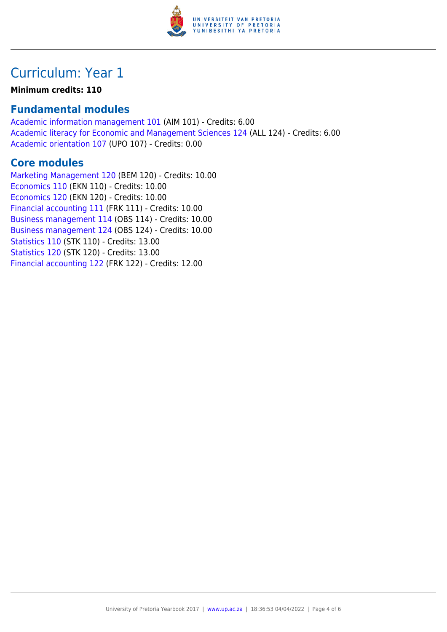

# Curriculum: Year 1

#### **Minimum credits: 110**

### **Fundamental modules**

[Academic information management 101](https://www.up.ac.za/yearbooks/2017/modules/view/AIM 101) (AIM 101) - Credits: 6.00 [Academic literacy for Economic and Management Sciences 124](https://www.up.ac.za/yearbooks/2017/modules/view/ALL 124) (ALL 124) - Credits: 6.00 [Academic orientation 107](https://www.up.ac.za/yearbooks/2017/modules/view/UPO 107) (UPO 107) - Credits: 0.00

### **Core modules**

[Marketing Management 120](https://www.up.ac.za/yearbooks/2017/modules/view/BEM 120) (BEM 120) - Credits: 10.00 [Economics 110](https://www.up.ac.za/yearbooks/2017/modules/view/EKN 110) (EKN 110) - Credits: 10.00 [Economics 120](https://www.up.ac.za/yearbooks/2017/modules/view/EKN 120) (EKN 120) - Credits: 10.00 [Financial accounting 111](https://www.up.ac.za/yearbooks/2017/modules/view/FRK 111) (FRK 111) - Credits: 10.00 [Business management 114](https://www.up.ac.za/yearbooks/2017/modules/view/OBS 114) (OBS 114) - Credits: 10.00 [Business management 124](https://www.up.ac.za/yearbooks/2017/modules/view/OBS 124) (OBS 124) - Credits: 10.00 [Statistics 110](https://www.up.ac.za/yearbooks/2017/modules/view/STK 110) (STK 110) - Credits: 13.00 [Statistics 120](https://www.up.ac.za/yearbooks/2017/modules/view/STK 120) (STK 120) - Credits: 13.00 [Financial accounting 122](https://www.up.ac.za/yearbooks/2017/modules/view/FRK 122) (FRK 122) - Credits: 12.00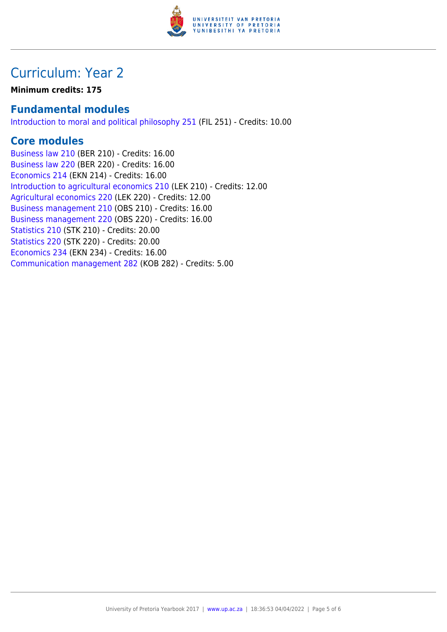

## Curriculum: Year 2

**Minimum credits: 175**

### **Fundamental modules**

[Introduction to moral and political philosophy 251](https://www.up.ac.za/yearbooks/2017/modules/view/FIL 251) (FIL 251) - Credits: 10.00

### **Core modules**

[Business law 210](https://www.up.ac.za/yearbooks/2017/modules/view/BER 210) (BER 210) - Credits: 16.00 [Business law 220](https://www.up.ac.za/yearbooks/2017/modules/view/BER 220) (BER 220) - Credits: 16.00 [Economics 214](https://www.up.ac.za/yearbooks/2017/modules/view/EKN 214) (EKN 214) - Credits: 16.00 [Introduction to agricultural economics 210](https://www.up.ac.za/yearbooks/2017/modules/view/LEK 210) (LEK 210) - Credits: 12.00 [Agricultural economics 220](https://www.up.ac.za/yearbooks/2017/modules/view/LEK 220) (LEK 220) - Credits: 12.00 [Business management 210](https://www.up.ac.za/yearbooks/2017/modules/view/OBS 210) (OBS 210) - Credits: 16.00 [Business management 220](https://www.up.ac.za/yearbooks/2017/modules/view/OBS 220) (OBS 220) - Credits: 16.00 [Statistics 210](https://www.up.ac.za/yearbooks/2017/modules/view/STK 210) (STK 210) - Credits: 20.00 [Statistics 220](https://www.up.ac.za/yearbooks/2017/modules/view/STK 220) (STK 220) - Credits: 20.00 [Economics 234](https://www.up.ac.za/yearbooks/2017/modules/view/EKN 234) (EKN 234) - Credits: 16.00 [Communication management 282](https://www.up.ac.za/yearbooks/2017/modules/view/KOB 282) (KOB 282) - Credits: 5.00